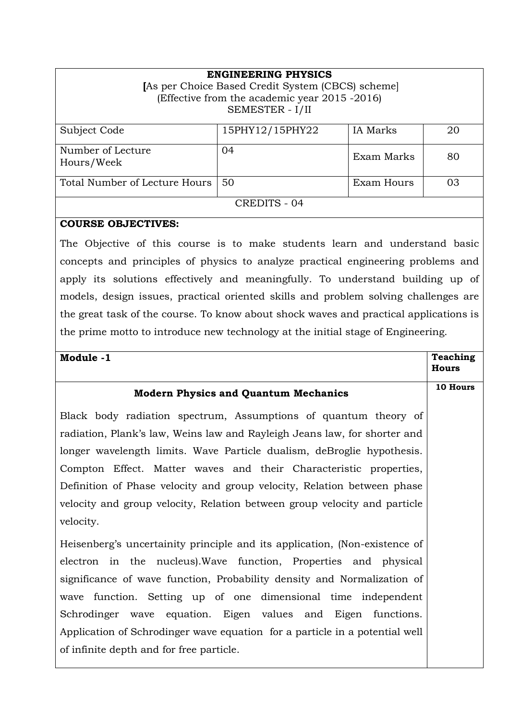| <b>ENGINEERING PHYSICS</b><br>[As per Choice Based Credit System (CBCS) scheme]<br>(Effective from the academic year 2015 -2016)<br>SEMESTER - I/II |                 |                 |    |  |
|-----------------------------------------------------------------------------------------------------------------------------------------------------|-----------------|-----------------|----|--|
| Subject Code                                                                                                                                        | 15PHY12/15PHY22 | <b>IA</b> Marks | 20 |  |
| Number of Lecture<br>Hours/Week                                                                                                                     | 04              | Exam Marks      | 80 |  |
| Total Number of Lecture Hours                                                                                                                       | 50              | Exam Hours      | 03 |  |
| CREDITS - 04                                                                                                                                        |                 |                 |    |  |

## **COURSE OBJECTIVES:**

The Objective of this course is to make students learn and understand basic concepts and principles of physics to analyze practical engineering problems and apply its solutions effectively and meaningfully. To understand building up of models, design issues, practical oriented skills and problem solving challenges are the great task of the course. To know about shock waves and practical applications is the prime motto to introduce new technology at the initial stage of Engineering.

| Module -1                                                                   | <b>Teaching</b> |
|-----------------------------------------------------------------------------|-----------------|
|                                                                             | <b>Hours</b>    |
| <b>Modern Physics and Quantum Mechanics</b>                                 | 10 Hours        |
| Black body radiation spectrum, Assumptions of quantum theory of             |                 |
| radiation, Plank's law, Weins law and Rayleigh Jeans law, for shorter and   |                 |
| longer wavelength limits. Wave Particle dualism, deBroglie hypothesis.      |                 |
| Compton Effect. Matter waves and their Characteristic properties,           |                 |
| Definition of Phase velocity and group velocity, Relation between phase     |                 |
| velocity and group velocity, Relation between group velocity and particle   |                 |
| velocity.                                                                   |                 |
| Heisenberg's uncertainity principle and its application, (Non-existence of  |                 |
| electron in the nucleus). Wave function, Properties and physical            |                 |
| significance of wave function, Probability density and Normalization of     |                 |
| wave function. Setting up of one dimensional time independent               |                 |
| Schrodinger wave equation. Eigen values and Eigen functions.                |                 |
| Application of Schrodinger wave equation for a particle in a potential well |                 |
| of infinite depth and for free particle.                                    |                 |
|                                                                             |                 |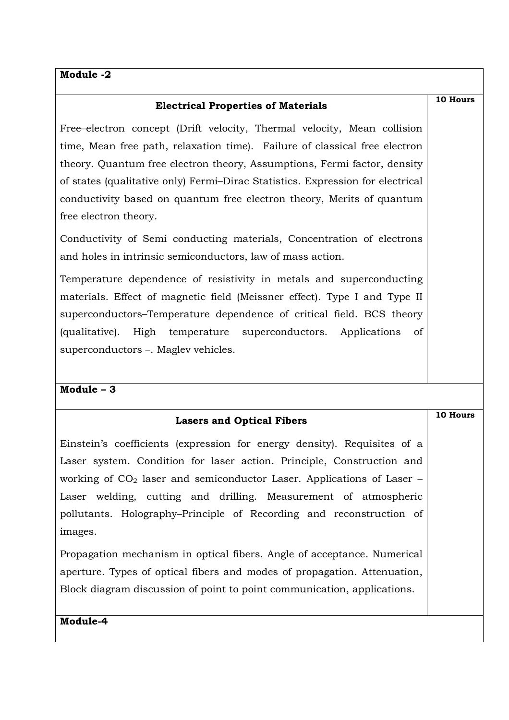# **Module -2**

| <b>Electrical Properties of Materials</b>                                      | 10 Hours |
|--------------------------------------------------------------------------------|----------|
| Free-electron concept (Drift velocity, Thermal velocity, Mean collision        |          |
| time, Mean free path, relaxation time). Failure of classical free electron     |          |
| theory. Quantum free electron theory, Assumptions, Fermi factor, density       |          |
| of states (qualitative only) Fermi-Dirac Statistics. Expression for electrical |          |
| conductivity based on quantum free electron theory, Merits of quantum          |          |
| free electron theory.                                                          |          |
| Conductivity of Semi conducting materials, Concentration of electrons          |          |
| and holes in intrinsic semiconductors, law of mass action.                     |          |
| Temperature dependence of resistivity in metals and superconducting            |          |
| materials. Effect of magnetic field (Meissner effect). Type I and Type II      |          |
| superconductors–Temperature dependence of critical field. BCS theory           |          |
| (qualitative). High temperature superconductors. Applications<br>of            |          |
| superconductors –. Maglev vehicles.                                            |          |
|                                                                                |          |
| Module $-3$                                                                    |          |
| <b>Lasers and Optical Fibers</b>                                               | 10 Hours |
| Einstein's coefficients (expression for energy density). Requisites of a       |          |
| Laser system. Condition for laser action. Principle, Construction and          |          |
| working of $CO2$ laser and semiconductor Laser. Applications of Laser –        |          |
| Laser welding, cutting and drilling. Measurement of atmospheric                |          |
| pollutants. Holography-Principle of Recording and reconstruction of            |          |
| images.                                                                        |          |
| Propagation mechanism in optical fibers. Angle of acceptance. Numerical        |          |
| aperture. Types of optical fibers and modes of propagation. Attenuation,       |          |
| Block diagram discussion of point to point communication, applications.        |          |
| Module-4                                                                       |          |
|                                                                                |          |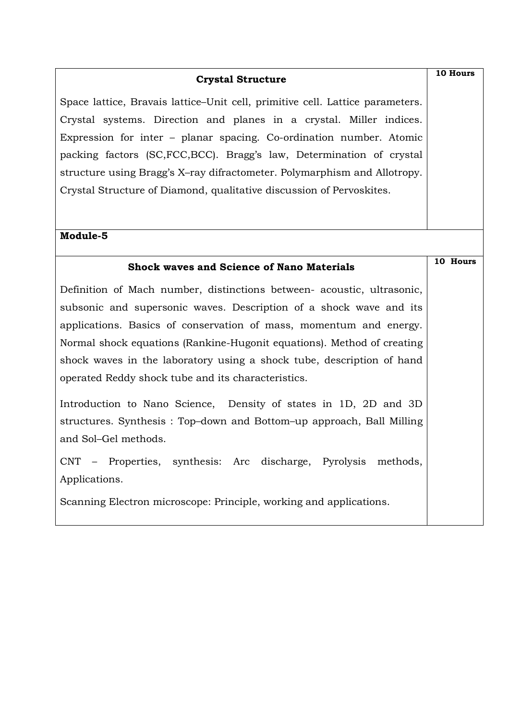| <b>Crystal Structure</b>                                                      |          |  |
|-------------------------------------------------------------------------------|----------|--|
| Space lattice, Bravais lattice–Unit cell, primitive cell. Lattice parameters. |          |  |
| Crystal systems. Direction and planes in a crystal. Miller indices.           |          |  |
| Expression for inter - planar spacing. Co-ordination number. Atomic           |          |  |
| packing factors (SC, FCC, BCC). Bragg's law, Determination of crystal         |          |  |
| structure using Bragg's X-ray difractometer. Polymarphism and Allotropy.      |          |  |
| Crystal Structure of Diamond, qualitative discussion of Pervoskites.          |          |  |
|                                                                               |          |  |
| Module-5                                                                      |          |  |
| <b>Shock waves and Science of Nano Materials</b>                              | 10 Hours |  |
| Definition of Mach number, distinctions between- acoustic, ultrasonic,        |          |  |
| subsonic and supersonic waves. Description of a shock wave and its            |          |  |
| applications. Basics of conservation of mass, momentum and energy.            |          |  |
| Normal shock equations (Rankine-Hugonit equations). Method of creating        |          |  |
| shock waves in the laboratory using a shock tube, description of hand         |          |  |
| operated Reddy shock tube and its characteristics.                            |          |  |
| Introduction to Nano Science, Density of states in 1D, 2D and 3D              |          |  |
| structures. Synthesis: Top-down and Bottom-up approach, Ball Milling          |          |  |
| and Sol-Gel methods.                                                          |          |  |
| CNT - Properties, synthesis: Arc discharge, Pyrolysis methods,                |          |  |
| Applications.                                                                 |          |  |
| Scanning Electron microscope: Principle, working and applications.            |          |  |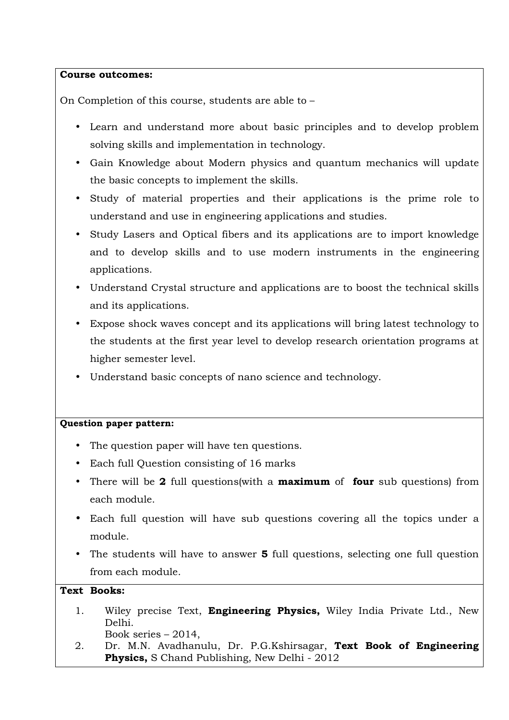#### **Course outcomes:**

On Completion of this course, students are able to –

- Learn and understand more about basic principles and to develop problem solving skills and implementation in technology.
- Gain Knowledge about Modern physics and quantum mechanics will update the basic concepts to implement the skills.
- Study of material properties and their applications is the prime role to understand and use in engineering applications and studies.
- Study Lasers and Optical fibers and its applications are to import knowledge and to develop skills and to use modern instruments in the engineering applications.
- Understand Crystal structure and applications are to boost the technical skills and its applications.
- Expose shock waves concept and its applications will bring latest technology to the students at the first year level to develop research orientation programs at higher semester level.
- Understand basic concepts of nano science and technology.

### **Question paper pattern:**

- The question paper will have ten questions.
- Each full Question consisting of 16 marks
- There will be **2** full questions(with a **maximum** of **four** sub questions) from each module.
- Each full question will have sub questions covering all the topics under a module.
- The students will have to answer **5** full questions, selecting one full question from each module.

### **Text Books:**

- 1. Wiley precise Text, **Engineering Physics,** Wiley India Private Ltd., New Delhi. Book series – 2014,
- 2. Dr. M.N. Avadhanulu, Dr. P.G.Kshirsagar, **Text Book of Engineering Physics,** S Chand Publishing, New Delhi - 2012